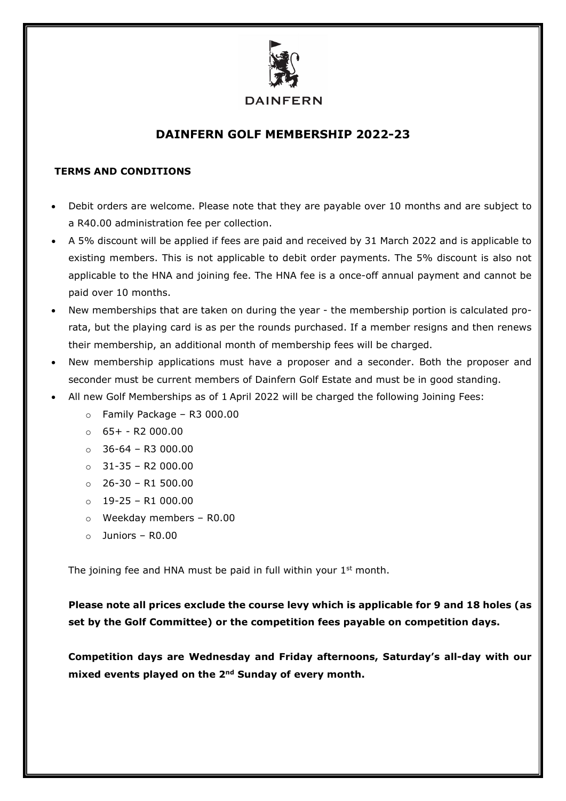

# **DAINFERN GOLF MEMBERSHIP 2022-23**

# **TERMS AND CONDITIONS**

- Debit orders are welcome. Please note that they are payable over 10 months and are subject to a R40.00 administration fee per collection.
- A 5% discount will be applied if fees are paid and received by 31 March 2022 and is applicable to existing members. This is not applicable to debit order payments. The 5% discount is also not applicable to the HNA and joining fee. The HNA fee is a once-off annual payment and cannot be paid over 10 months.
- New memberships that are taken on during the year the membership portion is calculated prorata, but the playing card is as per the rounds purchased. If a member resigns and then renews their membership, an additional month of membership fees will be charged.
- New membership applications must have a proposer and a seconder. Both the proposer and seconder must be current members of Dainfern Golf Estate and must be in good standing.
- All new Golf Memberships as of 1 April 2022 will be charged the following Joining Fees:
	- $\circ$  Family Package R3 000.00
	- $\circ$  65+ R2 000.00
	- $\circ$  36-64 R3 000.00
	- $\circ$  31-35 R2 000.00
	- $\circ$  26-30 R1 500.00
	- $\circ$  19-25 R1 000.00
	- o Weekday members R0.00
	- o Juniors R0.00

The joining fee and HNA must be paid in full within your  $1<sup>st</sup>$  month.

**Please note all prices exclude the course levy which is applicable for 9 and 18 holes (as set by the Golf Committee) or the competition fees payable on competition days.** 

**Competition days are Wednesday and Friday afternoons, Saturday's all-day with our mixed events played on the 2nd Sunday of every month.**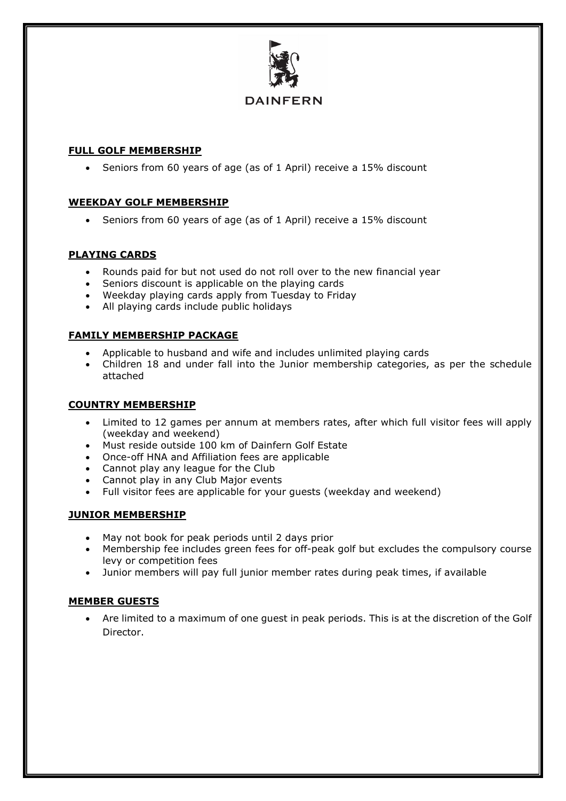

# **DAINFERN**

## **FULL GOLF MEMBERSHIP**

• Seniors from 60 years of age (as of 1 April) receive a 15% discount

#### **WEEKDAY GOLF MEMBERSHIP**

• Seniors from 60 years of age (as of 1 April) receive a 15% discount

#### **PLAYING CARDS**

- Rounds paid for but not used do not roll over to the new financial year
- Seniors discount is applicable on the playing cards
- Weekday playing cards apply from Tuesday to Friday
- All playing cards include public holidays

# **FAMILY MEMBERSHIP PACKAGE**

- Applicable to husband and wife and includes unlimited playing cards
- Children 18 and under fall into the Junior membership categories, as per the schedule attached

## **COUNTRY MEMBERSHIP**

- Limited to 12 games per annum at members rates, after which full visitor fees will apply (weekday and weekend)
- Must reside outside 100 km of Dainfern Golf Estate
- Once-off HNA and Affiliation fees are applicable
- Cannot play any league for the Club
- Cannot play in any Club Major events
- Full visitor fees are applicable for your guests (weekday and weekend)

# **JUNIOR MEMBERSHIP**

- May not book for peak periods until 2 days prior
- Membership fee includes green fees for off-peak golf but excludes the compulsory course levy or competition fees
- Junior members will pay full junior member rates during peak times, if available

# **MEMBER GUESTS**

• Are limited to a maximum of one guest in peak periods. This is at the discretion of the Golf Director.